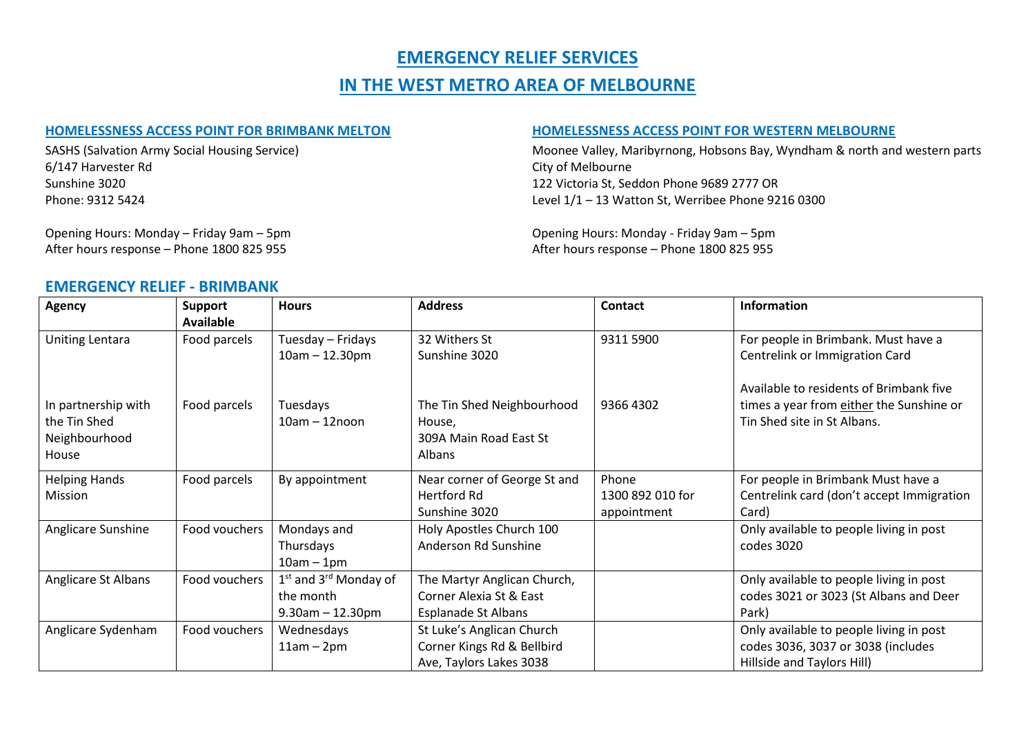# **EMERGENCY RELIEF SERVICES**

# **IN THE WEST METRO AREA OF MELBOURNE**

#### **HOMELESSNESS ACCESS POINT FOR BRIMBANK MELTON HOMELESSNESS ACCESS POINT FOR WESTERN MELBOURNE**

6/147 Harvester Rd City of Melbourne Sunshine 3020 122 Victoria St, Seddon Phone 9689 2777 OR

SASHS (Salvation Army Social Housing Service) Moonee Valley, Maribyrnong, Hobsons Bay, Wyndham & north and western parts Phone: 9312 5424 Level 1/1 – 13 Watton St, Werribee Phone 9216 0300

After hours response – Phone 1800 825 955

Opening Hours: Monday – Friday 9am – 5pm<br>
After hours response – Phone 1800 825 955<br>
After hours response – Phone 1800 825 955

#### **EMERGENCY RELIEF - BRIMBANK**

| <b>Agency</b>                                                 | <b>Support</b><br><b>Available</b> | <b>Hours</b>                                                     | <b>Address</b>                                                                       | <b>Contact</b>                           | <b>Information</b>                                                                                                 |
|---------------------------------------------------------------|------------------------------------|------------------------------------------------------------------|--------------------------------------------------------------------------------------|------------------------------------------|--------------------------------------------------------------------------------------------------------------------|
| Uniting Lentara                                               | Food parcels                       | Tuesday - Fridays<br>$10am - 12.30pm$                            | 32 Withers St<br>Sunshine 3020                                                       | 9311 5900                                | For people in Brimbank. Must have a<br>Centrelink or Immigration Card                                              |
| In partnership with<br>the Tin Shed<br>Neighbourhood<br>House | Food parcels                       | Tuesdays<br>$10am - 12noon$                                      | The Tin Shed Neighbourhood<br>House,<br>309A Main Road East St<br>Albans             | 9366 4302                                | Available to residents of Brimbank five<br>times a year from either the Sunshine or<br>Tin Shed site in St Albans. |
| <b>Helping Hands</b><br>Mission                               | Food parcels                       | By appointment                                                   | Near corner of George St and<br>Hertford Rd<br>Sunshine 3020                         | Phone<br>1300 892 010 for<br>appointment | For people in Brimbank Must have a<br>Centrelink card (don't accept Immigration<br>Card)                           |
| Anglicare Sunshine                                            | Food vouchers                      | Mondays and<br>Thursdays<br>$10am - 1pm$                         | Holy Apostles Church 100<br>Anderson Rd Sunshine                                     |                                          | Only available to people living in post<br>codes 3020                                                              |
| Anglicare St Albans                                           | Food vouchers                      | $1st$ and $3rd$ Monday of<br>the month<br>$9.30$ am $- 12.30$ pm | The Martyr Anglican Church,<br>Corner Alexia St & East<br><b>Esplanade St Albans</b> |                                          | Only available to people living in post<br>codes 3021 or 3023 (St Albans and Deer<br>Park)                         |
| Anglicare Sydenham                                            | Food vouchers                      | Wednesdays<br>$11am - 2pm$                                       | St Luke's Anglican Church<br>Corner Kings Rd & Bellbird<br>Ave, Taylors Lakes 3038   |                                          | Only available to people living in post<br>codes 3036, 3037 or 3038 (includes<br>Hillside and Taylors Hill)        |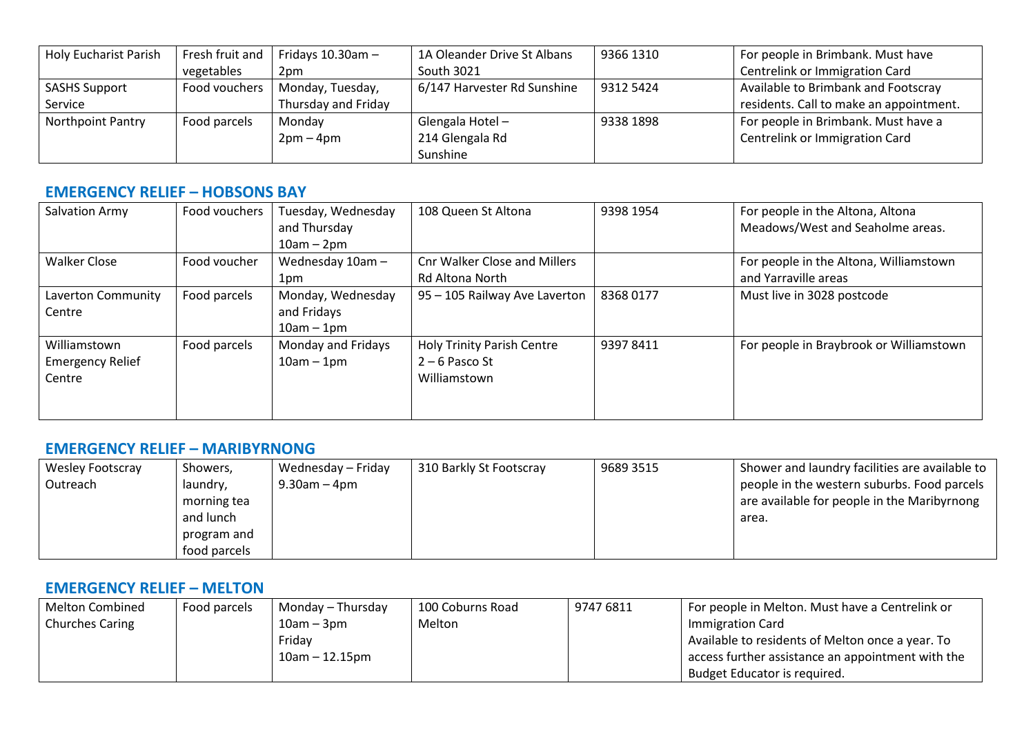| <b>Holy Eucharist Parish</b> | Fresh fruit and | Fridays $10.30$ am $-$ | 1A Oleander Drive St Albans | 9366 1310 | For people in Brimbank. Must have       |
|------------------------------|-----------------|------------------------|-----------------------------|-----------|-----------------------------------------|
|                              | vegetables      | 2 <sub>pm</sub>        | South 3021                  |           | Centrelink or Immigration Card          |
| <b>SASHS Support</b>         | Food vouchers   | Monday, Tuesday,       | 6/147 Harvester Rd Sunshine | 9312 5424 | Available to Brimbank and Footscray     |
| Service                      |                 | Thursday and Friday    |                             |           | residents. Call to make an appointment. |
| <b>Northpoint Pantry</b>     | Food parcels    | Monday                 | Glengala Hotel-             | 9338 1898 | For people in Brimbank. Must have a     |
|                              |                 | $2pm-4pm$              | 214 Glengala Rd             |           | Centrelink or Immigration Card          |
|                              |                 |                        | Sunshine                    |           |                                         |

### **EMERGENCY RELIEF – HOBSONS BAY**

| Salvation Army                                    | Food vouchers | Tuesday, Wednesday<br>and Thursday<br>$10am - 2pm$ | 108 Queen St Altona                                                   | 9398 1954 | For people in the Altona, Altona<br>Meadows/West and Seaholme areas. |
|---------------------------------------------------|---------------|----------------------------------------------------|-----------------------------------------------------------------------|-----------|----------------------------------------------------------------------|
| <b>Walker Close</b>                               | Food voucher  | Wednesday 10am -<br>1pm                            | Cnr Walker Close and Millers<br><b>Rd Altona North</b>                |           | For people in the Altona, Williamstown<br>and Yarraville areas       |
| Laverton Community<br>Centre                      | Food parcels  | Monday, Wednesday<br>and Fridays<br>$10am - 1pm$   | 95 - 105 Railway Ave Laverton                                         | 83680177  | Must live in 3028 postcode                                           |
| Williamstown<br><b>Emergency Relief</b><br>Centre | Food parcels  | Monday and Fridays<br>$10am - 1pm$                 | <b>Holy Trinity Parish Centre</b><br>$2 - 6$ Pasco St<br>Williamstown | 93978411  | For people in Braybrook or Williamstown                              |

### **EMERGENCY RELIEF – MARIBYRNONG**

| <b>Wesley Footscray</b> | Showers,     | Wednesday – Friday | 310 Barkly St Footscray | 9689 3515 | Shower and laundry facilities are available to |
|-------------------------|--------------|--------------------|-------------------------|-----------|------------------------------------------------|
| Outreach                | laundry,     | $9.30$ am $-4$ pm  |                         |           | people in the western suburbs. Food parcels    |
|                         | morning tea  |                    |                         |           | are available for people in the Maribyrnong    |
|                         | and lunch    |                    |                         |           | area.                                          |
|                         | program and  |                    |                         |           |                                                |
|                         | food parcels |                    |                         |           |                                                |

#### **EMERGENCY RELIEF – MELTON**

| <b>Melton Combined</b> | Food parcels | Monday – Thursday | 100 Coburns Road | 9747 6811 | For people in Melton. Must have a Centrelink or   |
|------------------------|--------------|-------------------|------------------|-----------|---------------------------------------------------|
| <b>Churches Caring</b> |              | $10$ am – $3$ pm  | Melton           |           | Immigration Card                                  |
|                        |              | Friday            |                  |           | Available to residents of Melton once a year. To  |
|                        |              | $10am - 12.15pm$  |                  |           | access further assistance an appointment with the |
|                        |              |                   |                  |           | Budget Educator is required.                      |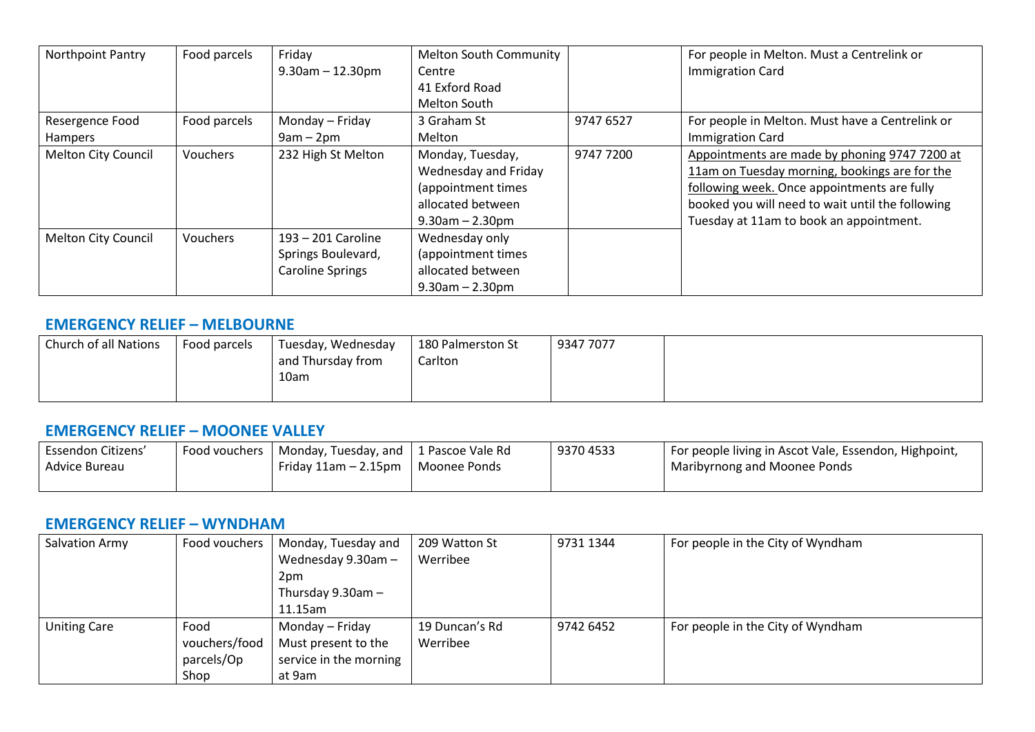| <b>Northpoint Pantry</b> | Food parcels    | Friday<br>$9.30$ am $- 12.30$ pm | <b>Melton South Community</b><br>Centre |           | For people in Melton. Must a Centrelink or<br><b>Immigration Card</b> |
|--------------------------|-----------------|----------------------------------|-----------------------------------------|-----------|-----------------------------------------------------------------------|
|                          |                 |                                  | 41 Exford Road                          |           |                                                                       |
|                          |                 |                                  | Melton South                            |           |                                                                       |
| Resergence Food          | Food parcels    | Monday – Friday                  | 3 Graham St                             | 9747 6527 | For people in Melton. Must have a Centrelink or                       |
| Hampers                  |                 | $9am - 2pm$                      | Melton                                  |           | <b>Immigration Card</b>                                               |
| Melton City Council      | <b>Vouchers</b> | 232 High St Melton               | Monday, Tuesday,                        | 9747 7200 | Appointments are made by phoning 9747 7200 at                         |
|                          |                 |                                  | Wednesday and Friday                    |           | 11am on Tuesday morning, bookings are for the                         |
|                          |                 |                                  | (appointment times                      |           | following week. Once appointments are fully                           |
|                          |                 |                                  | allocated between                       |           | booked you will need to wait until the following                      |
|                          |                 |                                  | $9.30$ am $- 2.30$ pm                   |           | Tuesday at 11am to book an appointment.                               |
| Melton City Council      | Vouchers        | 193 - 201 Caroline               | Wednesday only                          |           |                                                                       |
|                          |                 | Springs Boulevard,               | (appointment times                      |           |                                                                       |
|                          |                 | <b>Caroline Springs</b>          | allocated between                       |           |                                                                       |
|                          |                 |                                  | $9.30$ am $- 2.30$ pm                   |           |                                                                       |

#### **EMERGENCY RELIEF – MELBOURNE**

| Church of all Nations | Food parcels | Tuesday, Wednesday<br>and Thursday from<br>10am | 180 Palmerston St<br>Carlton | 9347 7077 |  |
|-----------------------|--------------|-------------------------------------------------|------------------------------|-----------|--|
|                       |              |                                                 |                              |           |  |

#### **EMERGENCY RELIEF – MOONEE VALLEY**

| Essendon Citizens' | Food vouchers 1 | Monday, Tuesday, and   1 Pascoe Vale Rd |                | 93704533 | For people living in Ascot Vale, Essendon, Highpoint, |
|--------------------|-----------------|-----------------------------------------|----------------|----------|-------------------------------------------------------|
| Advice Bureau      |                 | Friday $11$ am $- 2.15$ pm              | l Moonee Ponds |          | Maribyrnong and Moonee Ponds                          |
|                    |                 |                                         |                |          |                                                       |

#### **EMERGENCY RELIEF – WYNDHAM**

| Salvation Army      | Food vouchers | Monday, Tuesday and    | 209 Watton St  | 9731 1344 | For people in the City of Wyndham |
|---------------------|---------------|------------------------|----------------|-----------|-----------------------------------|
|                     |               | Wednesday 9.30am -     | Werribee       |           |                                   |
|                     |               | 2pm                    |                |           |                                   |
|                     |               | Thursday $9.30$ am $-$ |                |           |                                   |
|                     |               | $11.15$ am             |                |           |                                   |
| <b>Uniting Care</b> | Food          | Monday – Friday        | 19 Duncan's Rd | 9742 6452 | For people in the City of Wyndham |
|                     | vouchers/food | Must present to the    | Werribee       |           |                                   |
|                     | parcels/Op    | service in the morning |                |           |                                   |
|                     | Shop          | at 9am                 |                |           |                                   |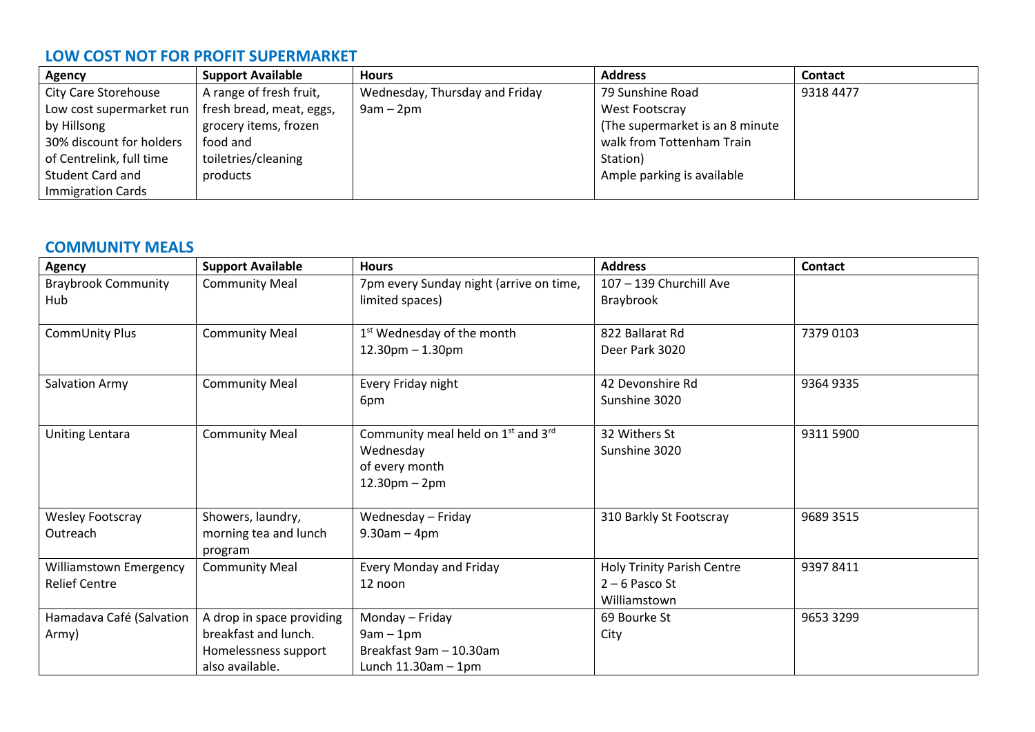## **LOW COST NOT FOR PROFIT SUPERMARKET**

| Agency                      | <b>Support Available</b> | <b>Hours</b>                   | <b>Address</b>                   | <b>Contact</b> |
|-----------------------------|--------------------------|--------------------------------|----------------------------------|----------------|
| <b>City Care Storehouse</b> | A range of fresh fruit,  | Wednesday, Thursday and Friday | 79 Sunshine Road                 | 9318 4477      |
| Low cost supermarket run    | fresh bread, meat, eggs, | $9am - 2pm$                    | West Footscray                   |                |
| by Hillsong                 | grocery items, frozen    |                                | (The supermarket is an 8 minute) |                |
| 30% discount for holders    | food and                 |                                | walk from Tottenham Train        |                |
| of Centrelink, full time    | toiletries/cleaning      |                                | Station)                         |                |
| <b>Student Card and</b>     | products                 |                                | Ample parking is available       |                |
| <b>Immigration Cards</b>    |                          |                                |                                  |                |

## **COMMUNITY MEALS**

| <b>Agency</b>                                         | <b>Support Available</b>                                                                     | <b>Hours</b>                                                                                                  | <b>Address</b>                                                        | Contact   |
|-------------------------------------------------------|----------------------------------------------------------------------------------------------|---------------------------------------------------------------------------------------------------------------|-----------------------------------------------------------------------|-----------|
| <b>Braybrook Community</b>                            | <b>Community Meal</b>                                                                        | 7pm every Sunday night (arrive on time,                                                                       | 107 - 139 Churchill Ave                                               |           |
| Hub                                                   |                                                                                              | limited spaces)                                                                                               | Braybrook                                                             |           |
| CommUnity Plus                                        | <b>Community Meal</b>                                                                        | 1 <sup>st</sup> Wednesday of the month<br>$12.30$ pm $- 1.30$ pm                                              | 822 Ballarat Rd<br>Deer Park 3020                                     | 7379 0103 |
| Salvation Army                                        | <b>Community Meal</b>                                                                        | Every Friday night<br>6pm                                                                                     | 42 Devonshire Rd<br>Sunshine 3020                                     | 9364 9335 |
| <b>Uniting Lentara</b>                                | <b>Community Meal</b>                                                                        | Community meal held on 1 <sup>st</sup> and 3 <sup>rd</sup><br>Wednesday<br>of every month<br>$12.30$ pm – 2pm | 32 Withers St<br>Sunshine 3020                                        | 9311 5900 |
| <b>Wesley Footscray</b><br>Outreach                   | Showers, laundry,<br>morning tea and lunch<br>program                                        | Wednesday - Friday<br>$9.30am - 4pm$                                                                          | 310 Barkly St Footscray                                               | 9689 3515 |
| <b>Williamstown Emergency</b><br><b>Relief Centre</b> | <b>Community Meal</b>                                                                        | <b>Every Monday and Friday</b><br>12 noon                                                                     | <b>Holy Trinity Parish Centre</b><br>$2 - 6$ Pasco St<br>Williamstown | 93978411  |
| Hamadava Café (Salvation<br>Army)                     | A drop in space providing<br>breakfast and lunch.<br>Homelessness support<br>also available. | Monday - Friday<br>$9am - 1pm$<br>Breakfast 9am - 10.30am<br>Lunch $11.30$ am $-1$ pm                         | 69 Bourke St<br>City                                                  | 9653 3299 |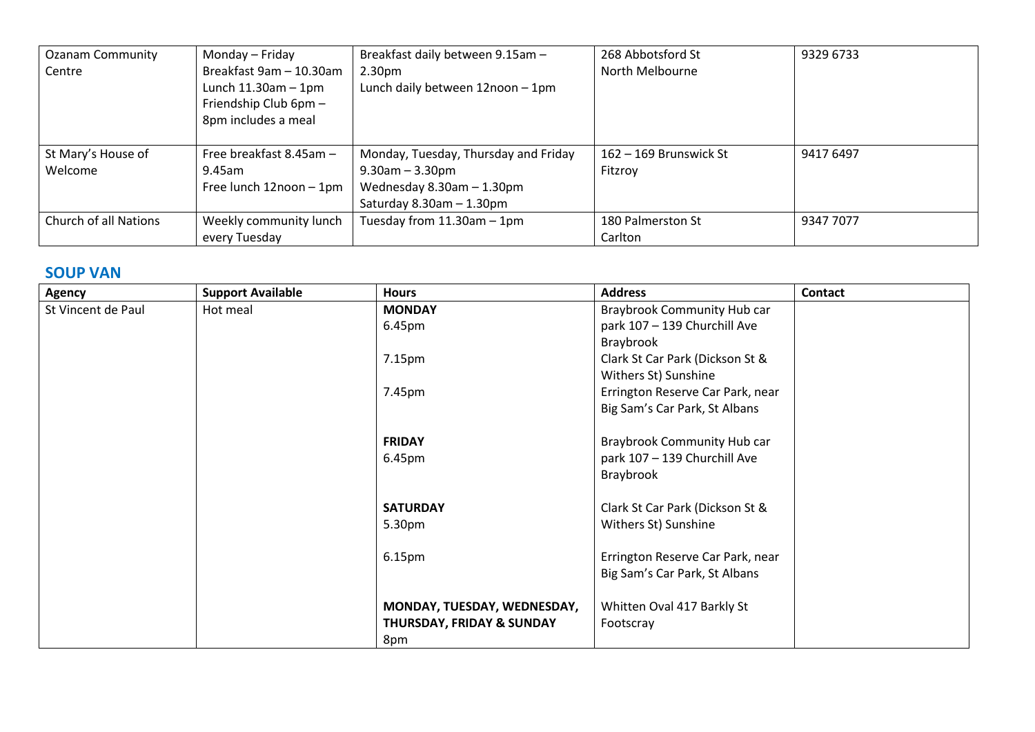| <b>Ozanam Community</b> | Monday – Friday            | Breakfast daily between 9.15am -     | 268 Abbotsford St        | 9329 6733 |
|-------------------------|----------------------------|--------------------------------------|--------------------------|-----------|
| Centre                  | Breakfast 9am - 10.30am    | 2.30 <sub>pm</sub>                   | North Melbourne          |           |
|                         | Lunch $11.30$ am $-1$ pm   | Lunch daily between 12noon - 1pm     |                          |           |
|                         | Friendship Club 6pm -      |                                      |                          |           |
|                         | 8pm includes a meal        |                                      |                          |           |
|                         |                            |                                      |                          |           |
| St Mary's House of      | Free breakfast $8.45$ am - | Monday, Tuesday, Thursday and Friday | $162 - 169$ Brunswick St | 9417 6497 |
| Welcome                 | 9.45am                     | $9.30$ am $-3.30$ pm                 | Fitzroy                  |           |
|                         | Free lunch 12noon - 1pm    | Wednesday $8.30$ am $-1.30$ pm       |                          |           |
|                         |                            | Saturday $8.30$ am $-1.30$ pm        |                          |           |
| Church of all Nations   | Weekly community lunch     | Tuesday from $11.30$ am $-1$ pm      | 180 Palmerston St        | 9347 7077 |
|                         | every Tuesday              |                                      | Carlton                  |           |

## **SOUP VAN**

| <b>Agency</b>      | <b>Support Available</b> | <b>Hours</b>                         | <b>Address</b>                     | <b>Contact</b> |
|--------------------|--------------------------|--------------------------------------|------------------------------------|----------------|
| St Vincent de Paul | Hot meal                 | <b>MONDAY</b>                        | <b>Braybrook Community Hub car</b> |                |
|                    |                          | 6.45pm                               | park 107 - 139 Churchill Ave       |                |
|                    |                          |                                      | Braybrook                          |                |
|                    |                          | 7.15pm                               | Clark St Car Park (Dickson St &    |                |
|                    |                          |                                      | Withers St) Sunshine               |                |
|                    |                          | 7.45pm                               | Errington Reserve Car Park, near   |                |
|                    |                          |                                      | Big Sam's Car Park, St Albans      |                |
|                    |                          |                                      |                                    |                |
|                    |                          | <b>FRIDAY</b>                        | <b>Braybrook Community Hub car</b> |                |
|                    |                          | 6.45pm                               | park 107 - 139 Churchill Ave       |                |
|                    |                          |                                      | Braybrook                          |                |
|                    |                          |                                      |                                    |                |
|                    |                          | <b>SATURDAY</b>                      | Clark St Car Park (Dickson St &    |                |
|                    |                          | 5.30pm                               | Withers St) Sunshine               |                |
|                    |                          |                                      |                                    |                |
|                    |                          | 6.15pm                               | Errington Reserve Car Park, near   |                |
|                    |                          |                                      | Big Sam's Car Park, St Albans      |                |
|                    |                          |                                      |                                    |                |
|                    |                          | MONDAY, TUESDAY, WEDNESDAY,          | Whitten Oval 417 Barkly St         |                |
|                    |                          | <b>THURSDAY, FRIDAY &amp; SUNDAY</b> | Footscray                          |                |
|                    |                          | 8pm                                  |                                    |                |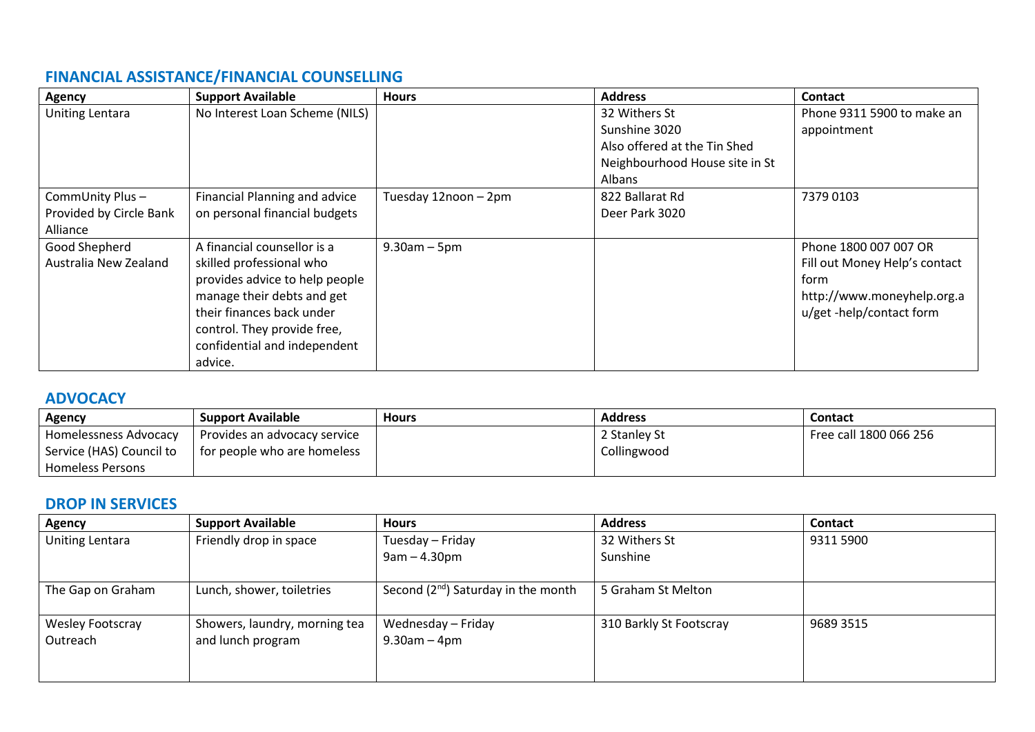# **FINANCIAL ASSISTANCE/FINANCIAL COUNSELLING**

| Agency                                                 | <b>Support Available</b>                                                                                                                                                                                                       | <b>Hours</b>         | <b>Address</b>                                                                                             | <b>Contact</b>                                                                                                           |
|--------------------------------------------------------|--------------------------------------------------------------------------------------------------------------------------------------------------------------------------------------------------------------------------------|----------------------|------------------------------------------------------------------------------------------------------------|--------------------------------------------------------------------------------------------------------------------------|
| Uniting Lentara                                        | No Interest Loan Scheme (NILS)                                                                                                                                                                                                 |                      | 32 Withers St<br>Sunshine 3020<br>Also offered at the Tin Shed<br>Neighbourhood House site in St<br>Albans | Phone 9311 5900 to make an<br>appointment                                                                                |
| CommUnity Plus-<br>Provided by Circle Bank<br>Alliance | <b>Financial Planning and advice</b><br>on personal financial budgets                                                                                                                                                          | Tuesday 12noon - 2pm | 822 Ballarat Rd<br>Deer Park 3020                                                                          | 7379 0103                                                                                                                |
| Good Shepherd<br>Australia New Zealand                 | A financial counsellor is a<br>skilled professional who<br>provides advice to help people<br>manage their debts and get<br>their finances back under<br>control. They provide free,<br>confidential and independent<br>advice. | $9.30$ am $-5$ pm    |                                                                                                            | Phone 1800 007 007 OR<br>Fill out Money Help's contact<br>form<br>http://www.moneyhelp.org.a<br>u/get -help/contact form |

### **ADVOCACY**

| Agency                   | <b>Support Available</b>     | <b>Hours</b> | <b>Address</b> | <b>Contact</b>         |
|--------------------------|------------------------------|--------------|----------------|------------------------|
| Homelessness Advocacy    | Provides an advocacy service |              | 2 Stanley St   | Free call 1800 066 256 |
| Service (HAS) Council to | for people who are homeless  |              | Collingwood    |                        |
| Homeless Persons         |                              |              |                |                        |

## **DROP IN SERVICES**

| Agency                  | <b>Support Available</b>      | <b>Hours</b>                            | <b>Address</b>          | <b>Contact</b> |
|-------------------------|-------------------------------|-----------------------------------------|-------------------------|----------------|
| Uniting Lentara         | Friendly drop in space        | Tuesday - Friday                        | 32 Withers St           | 9311 5900      |
|                         |                               | $9am - 4.30pm$                          | Sunshine                |                |
| The Gap on Graham       | Lunch, shower, toiletries     | Second $(2^{nd})$ Saturday in the month | 5 Graham St Melton      |                |
| <b>Wesley Footscray</b> | Showers, laundry, morning tea | Wednesday - Friday                      | 310 Barkly St Footscray | 9689 3515      |
| Outreach                | and lunch program             | $9.30$ am $-4$ pm                       |                         |                |
|                         |                               |                                         |                         |                |